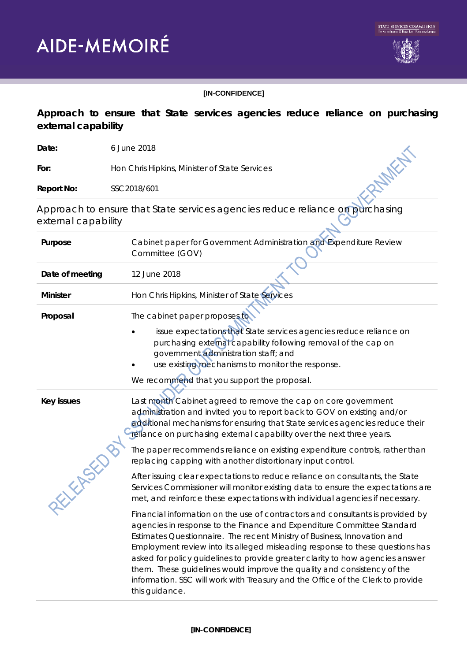



## **[IN-CONFIDENCE]**

## **Approach to ensure that State services agencies reduce reliance on purchasing external capability**

| Date:                  | 6 June 2018                                                                                                                                                                                                                                                                                                                                                                                                                                                                                                                                                                            |
|------------------------|----------------------------------------------------------------------------------------------------------------------------------------------------------------------------------------------------------------------------------------------------------------------------------------------------------------------------------------------------------------------------------------------------------------------------------------------------------------------------------------------------------------------------------------------------------------------------------------|
| For:                   | Hon Chris Hipkins, Minister of State Services                                                                                                                                                                                                                                                                                                                                                                                                                                                                                                                                          |
| <b>Report No:</b>      | SSC2018/601                                                                                                                                                                                                                                                                                                                                                                                                                                                                                                                                                                            |
| external capability    | Approach to ensure that State services agencies reduce reliance on purchasing                                                                                                                                                                                                                                                                                                                                                                                                                                                                                                          |
| Purpose                | Cabinet paper for Government Administration and Expenditure Review<br>Committee (GOV)                                                                                                                                                                                                                                                                                                                                                                                                                                                                                                  |
| Date of meeting        | 12 June 2018                                                                                                                                                                                                                                                                                                                                                                                                                                                                                                                                                                           |
| <b>Minister</b>        | Hon Chris Hipkins, Minister of State Services                                                                                                                                                                                                                                                                                                                                                                                                                                                                                                                                          |
| Proposal               | The cabinet paper proposes to                                                                                                                                                                                                                                                                                                                                                                                                                                                                                                                                                          |
|                        | issue expectations that State services agencies reduce reliance on<br>purchasing external capability following removal of the cap on<br>government administration staff; and<br>use existing mechanisms to monitor the response.<br>We recommend that you support the proposal.                                                                                                                                                                                                                                                                                                        |
| <b>Key issues</b><br>E | Last month Cabinet agreed to remove the cap on core government<br>administration and invited you to report back to GOV on existing and/or<br>additional mechanisms for ensuring that State services agencies reduce their<br>reliance on purchasing external capability over the next three years.                                                                                                                                                                                                                                                                                     |
|                        | The paper recommends reliance on existing expenditure controls, rather than<br>replacing capping with another distortionary input control.                                                                                                                                                                                                                                                                                                                                                                                                                                             |
|                        | After issuing clear expectations to reduce reliance on consultants, the State<br>Services Commissioner will monitor existing data to ensure the expectations are<br>met, and reinforce these expectations with individual agencies if necessary.                                                                                                                                                                                                                                                                                                                                       |
|                        | Financial information on the use of contractors and consultants is provided by<br>agencies in response to the Finance and Expenditure Committee Standard<br>Estimates Questionnaire. The recent Ministry of Business, Innovation and<br>Employment review into its alleged misleading response to these questions has<br>asked for policy guidelines to provide greater clarity to how agencies answer<br>them. These guidelines would improve the quality and consistency of the<br>information. SSC will work with Treasury and the Office of the Clerk to provide<br>this guidance. |

## **[IN-CONFIDENCE]**